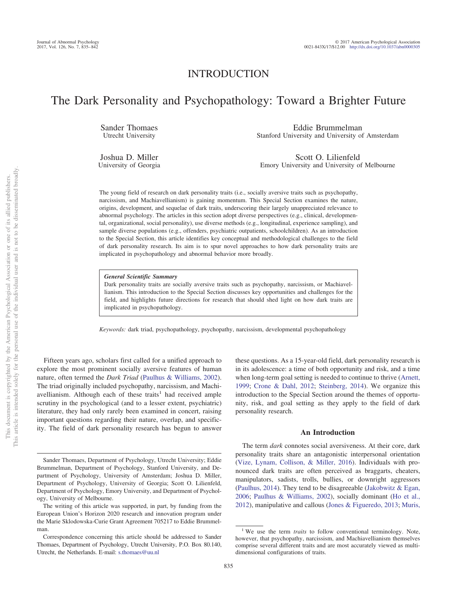## INTRODUCTION

# The Dark Personality and Psychopathology: Toward a Brighter Future

Sander Thomaes Utrecht University

Eddie Brummelman Stanford University and University of Amsterdam

Joshua D. Miller University of Georgia

Scott O. Lilienfeld Emory University and University of Melbourne

The young field of research on dark personality traits (i.e., socially aversive traits such as psychopathy, narcissism, and Machiavellianism) is gaining momentum. This Special Section examines the nature, origins, development, and sequelae of dark traits, underscoring their largely unappreciated relevance to abnormal psychology. The articles in this section adopt diverse perspectives (e.g., clinical, developmental, organizational, social personality), use diverse methods (e.g., longitudinal, experience sampling), and sample diverse populations (e.g., offenders, psychiatric outpatients, schoolchildren). As an introduction to the Special Section, this article identifies key conceptual and methodological challenges to the field of dark personality research. Its aim is to spur novel approaches to how dark personality traits are implicated in psychopathology and abnormal behavior more broadly.

#### *General Scientific Summary*

Dark personality traits are socially aversive traits such as psychopathy, narcissism, or Machiavellianism. This introduction to the Special Section discusses key opportunities and challenges for the field, and highlights future directions for research that should shed light on how dark traits are implicated in psychopathology.

*Keywords:* dark triad, psychopathology, psychopathy, narcissism, developmental psychopathology

Fifteen years ago, scholars first called for a unified approach to explore the most prominent socially aversive features of human nature, often termed the *Dark Triad* [\(Paulhus & Williams, 2002\)](#page-6-0). The triad originally included psychopathy, narcissism, and Machiavellianism. Although each of these traits<sup>1</sup> had received ample scrutiny in the psychological (and to a lesser extent, psychiatric) literature, they had only rarely been examined in concert, raising important questions regarding their nature, overlap, and specificity. The field of dark personality research has begun to answer

these questions. As a 15-year-old field, dark personality research is in its adolescence: a time of both opportunity and risk, and a time when long-term goal setting is needed to continue to thrive [\(Arnett,](#page-5-0) [1999;](#page-5-0) [Crone & Dahl, 2012;](#page-5-1) [Steinberg, 2014\)](#page-7-0). We organize this introduction to the Special Section around the themes of opportunity, risk, and goal setting as they apply to the field of dark personality research.

#### **An Introduction**

The term *dark* connotes social aversiveness. At their core, dark personality traits share an antagonistic interpersonal orientation [\(Vize, Lynam, Collison, & Miller, 2016\)](#page-7-1). Individuals with pronounced dark traits are often perceived as braggarts, cheaters, manipulators, sadists, trolls, bullies, or downright aggressors [\(Paulhus, 2014\)](#page-6-1). They tend to be disagreeable [\(Jakobwitz & Egan,](#page-5-2) [2006;](#page-5-2) [Paulhus & Williams, 2002\)](#page-6-0), socially dominant [\(Ho et al.,](#page-5-3) [2012\)](#page-5-3), manipulative and callous [\(Jones & Figueredo, 2013;](#page-6-2) [Muris,](#page-6-3)

Sander Thomaes, Department of Psychology, Utrecht University; Eddie Brummelman, Department of Psychology, Stanford University, and Department of Psychology, University of Amsterdam; Joshua D. Miller, Department of Psychology, University of Georgia; Scott O. Lilienfeld, Department of Psychology, Emory University, and Department of Psychology, University of Melbourne.

The writing of this article was supported, in part, by funding from the European Union's Horizon 2020 research and innovation program under the Marie Sklodowska-Curie Grant Agreement 705217 to Eddie Brummelman.

Correspondence concerning this article should be addressed to Sander Thomaes, Department of Psychology, Utrecht University, P.O. Box 80.140, Utrecht, the Netherlands. E-mail: [s.thomaes@uu.nl](mailto:s.thomaes@uu.nl)

<sup>&</sup>lt;sup>1</sup> We use the term *traits* to follow conventional terminology. Note, however, that psychopathy, narcissism, and Machiavellianism themselves comprise several different traits and are most accurately viewed as multidimensional configurations of traits.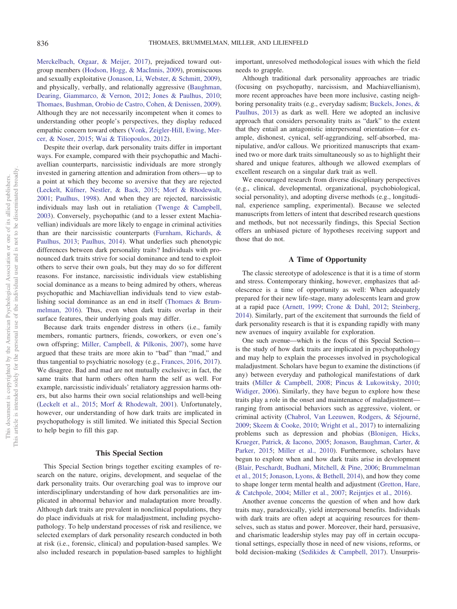[Merckelbach, Otgaar, & Meijer, 2017\)](#page-6-3), prejudiced toward outgroup members [\(Hodson, Hogg, & MacInnis, 2009\)](#page-5-4), promiscuous and sexually exploitative [\(Jonason, Li, Webster, & Schmitt, 2009\)](#page-6-4), and physically, verbally, and relationally aggressive [\(Baughman,](#page-5-5) [Dearing, Giammarco, & Vernon, 2012;](#page-5-5) [Jones & Paulhus, 2010;](#page-6-5) [Thomaes, Bushman, Orobio de Castro, Cohen, & Denissen, 2009\)](#page-7-2). Although they are not necessarily incompetent when it comes to understanding other people's perspectives, they display reduced empathic concern toward others [\(Vonk, Zeigler-Hill, Ewing, Mer](#page-7-3)[cer, & Noser, 2015;](#page-7-3) [Wai & Tiliopoulos, 2012\)](#page-7-4).

Despite their overlap, dark personality traits differ in important ways. For example, compared with their psychopathic and Machiavellian counterparts, narcissistic individuals are more strongly invested in garnering attention and admiration from others— up to a point at which they become so aversive that they are rejected [\(Leckelt, Küfner, Nestler, & Back, 2015;](#page-6-6) [Morf & Rhodewalt,](#page-6-7) [2001;](#page-6-7) [Paulhus, 1998\)](#page-6-8). And when they are rejected, narcissistic individuals may lash out in retaliation [\(Twenge & Campbell,](#page-7-5) [2003\)](#page-7-5). Conversely, psychopathic (and to a lesser extent Machiavellian) individuals are more likely to engage in criminal activities than are their narcissistic counterparts [\(Furnham, Richards, &](#page-5-6) [Paulhus, 2013;](#page-5-6) [Paulhus, 2014\)](#page-6-1). What underlies such phenotypic differences between dark personality traits? Individuals with pronounced dark traits strive for social dominance and tend to exploit others to serve their own goals, but they may do so for different reasons. For instance, narcissistic individuals view establishing social dominance as a means to being admired by others, whereas psychopathic and Machiavellian individuals tend to view establishing social dominance as an end in itself [\(Thomaes & Brum](#page-7-6)[melman, 2016\)](#page-7-6). Thus, even when dark traits overlap in their surface features, their underlying goals may differ.

Because dark traits engender distress in others (i.e., family members, romantic partners, friends, coworkers, or even one's own offspring; [Miller, Campbell, & Pilkonis, 2007\)](#page-6-9), some have argued that these traits are more akin to "bad" than "mad," and thus tangential to psychiatric nosology (e.g., [Frances, 2016,](#page-5-7) [2017\)](#page-5-8). We disagree. Bad and mad are not mutually exclusive; in fact, the same traits that harm others often harm the self as well. For example, narcissistic individuals' retaliatory aggression harms others, but also harms their own social relationships and well-being [\(Leckelt et al., 2015;](#page-6-6) [Morf & Rhodewalt, 2001\)](#page-6-7). Unfortunately, however, our understanding of how dark traits are implicated in psychopathology is still limited. We initiated this Special Section to help begin to fill this gap.

#### **This Special Section**

This Special Section brings together exciting examples of research on the nature, origins, development, and sequelae of the dark personality traits. Our overarching goal was to improve our interdisciplinary understanding of how dark personalities are implicated in abnormal behavior and maladaptation more broadly. Although dark traits are prevalent in nonclinical populations, they do place individuals at risk for maladjustment, including psychopathology. To help understand processes of risk and resilience, we selected exemplars of dark personality research conducted in both at risk (i.e., forensic, clinical) and population-based samples. We also included research in population-based samples to highlight

important, unresolved methodological issues with which the field needs to grapple.

Although traditional dark personality approaches are triadic (focusing on psychopathy, narcissism, and Machiavellianism), more recent approaches have been more inclusive, casting neighboring personality traits (e.g., everyday sadism; [Buckels, Jones, &](#page-5-9) [Paulhus, 2013\)](#page-5-9) as dark as well. Here we adopted an inclusive approach that considers personality traits as "dark" to the extent that they entail an antagonistic interpersonal orientation—for example, dishonest, cynical, self-aggrandizing, self-absorbed, manipulative, and/or callous. We prioritized manuscripts that examined two or more dark traits simultaneously so as to highlight their shared and unique features, although we allowed exemplars of excellent research on a singular dark trait as well.

We encouraged research from diverse disciplinary perspectives (e.g., clinical, developmental, organizational, psychobiological, social personality), and adopting diverse methods (e.g., longitudinal, experience sampling, experimental). Because we selected manuscripts from letters of intent that described research questions and methods, but not necessarily findings, this Special Section offers an unbiased picture of hypotheses receiving support and those that do not.

#### **A Time of Opportunity**

The classic stereotype of adolescence is that it is a time of storm and stress. Contemporary thinking, however, emphasizes that adolescence is a time of opportunity as well: When adequately prepared for their new life-stage, many adolescents learn and grow at a rapid pace [\(Arnett, 1999;](#page-5-0) [Crone & Dahl, 2012;](#page-5-1) [Steinberg,](#page-7-0) [2014\)](#page-7-0). Similarly, part of the excitement that surrounds the field of dark personality research is that it is expanding rapidly with many new avenues of inquiry available for exploration.

One such avenue—which is the focus of this Special Section is the study of how dark traits are implicated in psychopathology and may help to explain the processes involved in psychological maladjustment. Scholars have begun to examine the distinctions (if any) between everyday and pathological manifestations of dark traits [\(Miller & Campbell, 2008;](#page-6-10) [Pincus & Lukowitsky, 2010;](#page-6-11) [Widiger, 2006\)](#page-7-7). Similarly, they have begun to explore how these traits play a role in the onset and maintenance of maladjustment ranging from antisocial behaviors such as aggressive, violent, or criminal activity [\(Chabrol, Van Leeuwen, Rodgers, & Séjourné,](#page-5-10) [2009;](#page-5-10) [Skeem & Cooke, 2010;](#page-7-8) [Wright et al., 2017\)](#page-7-9) to internalizing problems such as depression and phobias [\(Blonigen, Hicks,](#page-5-11) [Krueger, Patrick, & Iacono, 2005;](#page-5-11) [Jonason, Baughman, Carter, &](#page-5-12) [Parker, 2015;](#page-5-12) [Miller et al., 2010\)](#page-6-12). Furthermore, scholars have begun to explore when and how dark traits arise in development [\(Blair, Peschardt, Budhani, Mitchell, & Pine, 2006;](#page-5-13) [Brummelman](#page-5-14) [et al., 2015;](#page-5-14) [Jonason, Lyons, & Bethell, 2014\)](#page-6-13), and how they come to shape longer term mental health and adjustment [\(Gretton, Hare,](#page-5-15) [& Catchpole, 2004;](#page-5-15) [Miller et al., 2007;](#page-6-9) [Reijntjes et al., 2016\)](#page-6-14).

Another avenue concerns the question of when and how dark traits may, paradoxically, yield interpersonal benefits. Individuals with dark traits are often adept at acquiring resources for themselves, such as status and power. Moreover, their hard, persuasive, and charismatic leadership styles may pay off in certain occupational settings, especially those in need of new visions, reforms, or bold decision-making [\(Sedikides & Campbell, 2017\)](#page-6-15). Unsurpris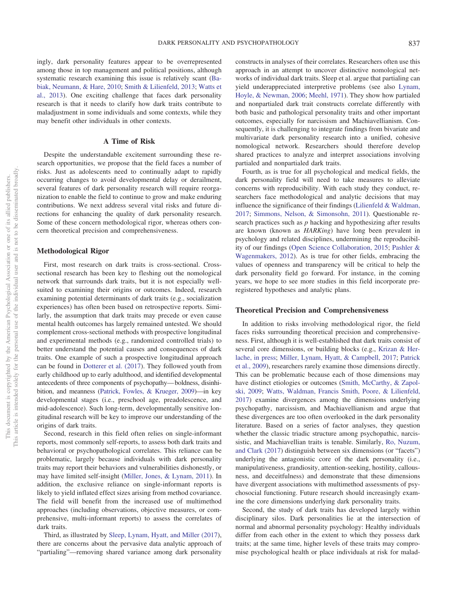ingly, dark personality features appear to be overrepresented among those in top management and political positions, although systematic research examining this issue is relatively scant [\(Ba](#page-5-16)[biak, Neumann, & Hare, 2010;](#page-5-16) [Smith & Lilienfeld, 2013;](#page-7-10) [Watts et](#page-7-11) [al., 2013\)](#page-7-11). One exciting challenge that faces dark personality research is that it needs to clarify how dark traits contribute to maladjustment in some individuals and some contexts, while they may benefit other individuals in other contexts.

#### **A Time of Risk**

Despite the understandable excitement surrounding these research opportunities, we propose that the field faces a number of risks. Just as adolescents need to continually adapt to rapidly occurring changes to avoid developmental delay or derailment, several features of dark personality research will require reorganization to enable the field to continue to grow and make enduring contributions. We next address several vital risks and future directions for enhancing the quality of dark personality research. Some of these concern methodological rigor, whereas others concern theoretical precision and comprehensiveness.

#### **Methodological Rigor**

First, most research on dark traits is cross-sectional. Crosssectional research has been key to fleshing out the nomological network that surrounds dark traits, but it is not especially wellsuited to examining their origins or outcomes. Indeed, research examining potential determinants of dark traits (e.g., socialization experiences) has often been based on retrospective reports. Similarly, the assumption that dark traits may precede or even cause mental health outcomes has largely remained untested. We should complement cross-sectional methods with prospective longitudinal and experimental methods (e.g., randomized controlled trials) to better understand the potential causes and consequences of dark traits. One example of such a prospective longitudinal approach can be found in [Dotterer et al. \(2017\)](#page-7-9). They followed youth from early childhood up to early adulthood, and identified developmental antecedents of three components of psychopathy— boldness, disinhibition, and meanness [\(Patrick, Fowles, & Krueger, 2009\)](#page-6-16)—in key developmental stages (i.e., preschool age, preadolescence, and mid-adolescence). Such long-term, developmentally sensitive longitudinal research will be key to improve our understanding of the origins of dark traits.

Second, research in this field often relies on single-informant reports, most commonly self-reports, to assess both dark traits and behavioral or psychopathological correlates. This reliance can be problematic, largely because individuals with dark personality traits may report their behaviors and vulnerabilities dishonestly, or may have limited self-insight [\(Miller, Jones, & Lynam, 2011\)](#page-6-17). In addition, the exclusive reliance on single-informant reports is likely to yield inflated effect sizes arising from method covariance. The field will benefit from the increased use of multimethod approaches (including observations, objective measures, or comprehensive, multi-informant reports) to assess the correlates of dark traits.

Third, as illustrated by [Sleep, Lynam, Hyatt, and Miller \(2017\)](#page-7-12), there are concerns about the pervasive data analytic approach of "partialing"—removing shared variance among dark personality

constructs in analyses of their correlates. Researchers often use this approach in an attempt to uncover distinctive nomological networks of individual dark traits. Sleep et al. argue that partialing can yield underappreciated interpretive problems (see also [Lynam,](#page-6-18) [Hoyle, & Newman, 2006;](#page-6-18) [Meehl, 1971\)](#page-6-19). They show how partialed and nonpartialed dark trait constructs correlate differently with both basic and pathological personality traits and other important outcomes, especially for narcissism and Machiavellianism. Consequently, it is challenging to integrate findings from bivariate and multivariate dark personality research into a unified, cohesive nomological network. Researchers should therefore develop shared practices to analyze and interpret associations involving partialed and nonpartialed dark traits.

Fourth, as is true for all psychological and medical fields, the dark personality field will need to take measures to alleviate concerns with reproducibility. With each study they conduct, researchers face methodological and analytic decisions that may influence the significance of their findings [\(Lilienfeld & Waldman,](#page-6-20) [2017;](#page-6-20) [Simmons, Nelson, & Simonsohn, 2011\)](#page-6-21). Questionable research practices such as *p* hacking and hypothesizing after results are known (known as *HARKing*) have long been prevalent in psychology and related disciplines, undermining the reproducibility of our findings [\(Open Science Collaboration, 2015;](#page-6-22) [Pashler &](#page-6-23) [Wagenmakers, 2012\)](#page-6-23). As is true for other fields, embracing the values of openness and transparency will be critical to help the dark personality field go forward. For instance, in the coming years, we hope to see more studies in this field incorporate preregistered hypotheses and analytic plans.

#### **Theoretical Precision and Comprehensiveness**

In addition to risks involving methodological rigor, the field faces risks surrounding theoretical precision and comprehensiveness. First, although it is well-established that dark traits consist of several core dimensions, or building blocks (e.g., [Krizan & Her](#page-6-24)[lache, in press;](#page-6-24) [Miller, Lynam, Hyatt, & Campbell, 2017;](#page-6-25) [Patrick](#page-6-16) [et al., 2009\)](#page-6-16), researchers rarely examine those dimensions directly. This can be problematic because each of those dimensions may have distinct etiologies or outcomes [\(Smith, McCarthy, & Zapol](#page-7-13)[ski, 2009;](#page-7-13) [Watts, Waldman, Francis Smith, Poore, & Lilienfeld,](#page-7-14) [2017\)](#page-7-14) examine divergences among the dimensions underlying psychopathy, narcissism, and Machiavellianism and argue that these divergences are too often overlooked in the dark personality literature. Based on a series of factor analyses, they question whether the classic triadic structure among psychopathic, narcissistic, and Machiavellian traits is tenable. Similarly, [Ro, Nuzum,](#page-6-26) [and Clark \(2017\)](#page-6-26) distinguish between six dimensions (or "facets") underlying the antagonistic core of the dark personality (i.e., manipulativeness, grandiosity, attention-seeking, hostility, callousness, and deceitfulness) and demonstrate that these dimensions have divergent associations with multimethod assessments of psychosocial functioning. Future research should increasingly examine the core dimensions underlying dark personality traits.

Second, the study of dark traits has developed largely within disciplinary silos. Dark personalities lie at the intersection of normal and abnormal personality psychology: Healthy individuals differ from each other in the extent to which they possess dark traits; at the same time, higher levels of these traits may compromise psychological health or place individuals at risk for malad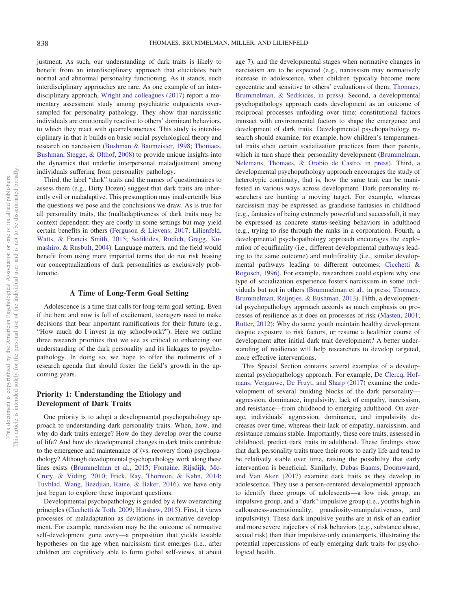justment. As such, our understanding of dark traits is likely to benefit from an interdisciplinary approach that elucidates both normal and abnormal personality functioning. As it stands, such interdisciplinary approaches are rare. As one example of an interdisciplinary approach, [Wright and colleagues \(2017\)](#page-7-15) report a momentary assessment study among psychiatric outpatients oversampled for personality pathology. They show that narcissistic individuals are emotionally reactive to others' dominant behaviors, to which they react with quarrelsomeness. This study is interdisciplinary in that it builds on basic social psychological theory and research on narcissism [\(Bushman & Baumeister, 1998;](#page-5-17) [Thomaes,](#page-7-16) [Bushman, Stegge, & Olthof, 2008\)](#page-7-16) to provide unique insights into the dynamics that underlie interpersonal maladjustment among individuals suffering from personality pathology.

Third, the label "dark" traits and the names of questionnaires to assess them (e.g., Dirty Dozen) suggest that dark traits are inherently evil or maladaptive. This presumption may inadvertently bias the questions we pose and the conclusions we draw. As is true for all personality traits, the (mal)adaptiveness of dark traits may be context dependent; they are costly in some settings but may yield certain benefits in others [\(Ferguson & Lievens, 2017;](#page-5-18) [Lilienfeld,](#page-6-27) [Watts, & Francis Smith, 2015;](#page-6-27) [Sedikides, Rudich, Gregg, Ku](#page-6-28)[mashiro, & Rusbult, 2004\)](#page-6-28). Language matters, and the field would benefit from using more impartial terms that do not risk biasing our conceptualizations of dark personalities as exclusively problematic.

#### **A Time of Long-Term Goal Setting**

Adolescence is a time that calls for long-term goal setting. Even if the here and now is full of excitement, teenagers need to make decisions that bear important ramifications for their future (e.g., "How much do I invest in my schoolwork?"). Here we outline three research priorities that we see as critical to enhancing our understanding of the dark personality and its linkages to psychopathology. In doing so, we hope to offer the rudiments of a research agenda that should foster the field's growth in the upcoming years.

## **Priority 1: Understanding the Etiology and Development of Dark Traits**

One priority is to adopt a developmental psychopathology approach to understanding dark personality traits. When, how, and why do dark traits emerge? How do they develop over the course of life? And how do developmental changes in dark traits contribute to the emergence and maintenance of (vs. recovery from) psychopathology? Although developmental psychopathology work along these lines exists [\(Brummelman et al., 2015;](#page-5-14) [Fontaine, Rijsdijk, Mc-](#page-5-19)[Crory, & Viding, 2010;](#page-5-19) [Frick, Ray, Thornton, & Kahn, 2014;](#page-5-20) [Tuvblad, Wang, Bezdjian, Raine, & Baker, 2016\)](#page-7-17), we have only just begun to explore these important questions.

Developmental psychopathology is guided by a few overarching principles [\(Cicchetti & Toth, 2009;](#page-5-21) [Hinshaw, 2015\)](#page-5-22). First, it views processes of maladaptation as deviations in normative development. For example, narcissism may be the outcome of normative self-development gone awry—a proposition that yields testable hypotheses on the age when narcissism first emerges (i.e., after children are cognitively able to form global self-views, at about age 7), and the developmental stages when normative changes in narcissism are to be expected (e.g., narcissism may normatively increase in adolescence, when children typically become more egocentric and sensitive to others' evaluations of them; [Thomaes,](#page-7-18) [Brummelman, & Sedikides, in press\)](#page-7-18). Second, a developmental psychopathology approach casts development as an outcome of reciprocal processes unfolding over time; constitutional factors transact with environmental factors to shape the emergence and development of dark traits. Developmental psychopathology research should examine, for example, how children's temperamental traits elicit certain socialization practices from their parents, which in turn shape their personality development [\(Brummelman,](#page-5-23) [Nelemans, Thomaes, & Orobio de Castro, in press\)](#page-5-23). Third, a developmental psychopathology approach encourages the study of heterotypic continuity, that is, how the same trait can be manifested in various ways across development. Dark personality researchers are hunting a moving target. For example, whereas narcissism may be expressed as grandiose fantasies in childhood (e.g., fantasies of being extremely powerful and successful), it may be expressed as concrete status-seeking behaviors in adulthood (e.g., trying to rise through the ranks in a corporation). Fourth, a developmental psychopathology approach encourages the exploration of equifinality (i.e., different developmental pathways leading to the same outcome) and multifinality (i.e., similar developmental pathways leading to different outcomes; [Cicchetti &](#page-5-24) [Rogosch, 1996\)](#page-5-24). For example, researchers could explore why one type of socialization experience fosters narcissism in some individuals but not in others [\(Brummelman et al., in press;](#page-5-23) [Thomaes,](#page-7-19) [Brummelman, Reijntjes, & Bushman, 2013\)](#page-7-19). Fifth, a developmental psychopathology approach accords as much emphasis on processes of resilience as it does on processes of risk [\(Masten, 2001;](#page-6-29) [Rutter, 2012\)](#page-6-30): Why do some youth maintain healthy development despite exposure to risk factors, or resume a healthier course of development after initial dark trait development? A better understanding of resilience will help researchers to develop targeted, more effective interventions.

This Special Section contains several examples of a developmental psychopathology approach. For example, [De Clercq, Hof](#page-5-25)[mans, Vergauwe, De Fruyt, and Sharp \(2017\)](#page-5-25) examine the codevelopment of several building blocks of the dark personality aggression, dominance, impulsivity, lack of empathy, narcissism, and resistance—from childhood to emerging adulthood. On average, individuals' aggression, dominance, and impulsivity decreases over time, whereas their lack of empathy, narcissism, and resistance remains stable. Importantly, these core traits, assessed in childhood, predict dark traits in adulthood. These findings show that dark personality traits trace their roots to early life and tend to be relatively stable over time, raising the possibility that early intervention is beneficial. Similarly, [Dubas Baams, Doornwaard,](#page-5-26) [and Van Aken \(2017\)](#page-5-26) examine dark traits as they develop in adolescence. They use a person-centered developmental approach to identify three groups of adolescents—a low risk group, an impulsive group, and a "dark" impulsive group (i.e., youths high in callousness-unemotionality, grandiosity-manipulativeness, and impulsivity). These dark impulsive youths are at risk of an earlier and more severe trajectory of risk behaviors (e.g., substance abuse, sexual risk) than their impulsive-only counterparts, illustrating the potential repercussions of early emerging dark traits for psychological health.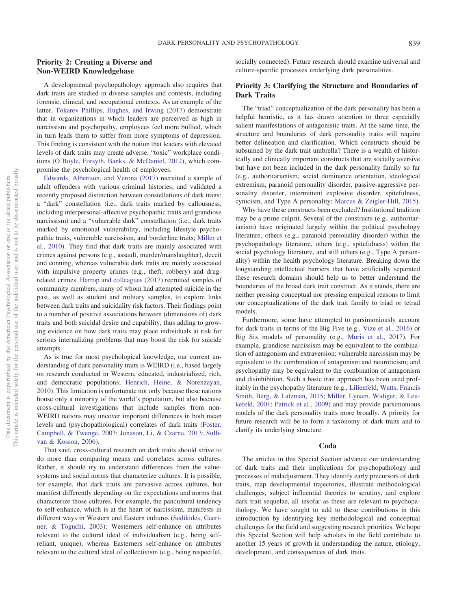## **Priority 2: Creating a Diverse and Non-WEIRD Knowledgebase**

A developmental psychopathology approach also requires that dark traits are studied in diverse samples and contexts, including forensic, clinical, and occupational contexts. As an example of the latter, [Tokarev Phillips, Hughes, and Irwing \(2017\)](#page-7-20) demonstrate that in organizations in which leaders are perceived as high in narcissism and psychopathy, employees feel more bullied, which in turn leads them to suffer from more symptoms of depression. This finding is consistent with the notion that leaders with elevated levels of dark traits may create adverse, "toxic" workplace conditions [\(O'Boyle, Forsyth, Banks, & McDaniel, 2012\)](#page-6-31), which compromise the psychological health of employees.

[Edwards, Albertson, and Verona \(2017\)](#page-5-27) recruited a sample of adult offenders with various criminal histories, and validated a recently proposed distinction between constellations of dark traits: a "dark" constellation (i.e., dark traits marked by callousness, including interpersonal-affective psychopathic traits and grandiose narcissism) and a "vulnerable dark" constellation (i.e., dark traits marked by emotional vulnerability, including lifestyle psychopathic traits, vulnerable narcissism, and borderline traits; [Miller et](#page-6-12) [al., 2010\)](#page-6-12). They find that dark traits are mainly associated with crimes against persons (e.g., assault, murder/manslaughter), deceit and conning, whereas vulnerable dark traits are mainly associated with impulsive property crimes (e.g., theft, robbery) and drugrelated crimes. [Harrop and colleagues \(2017\)](#page-5-28) recruited samples of community members, many of whom had attempted suicide in the past, as well as student and military samples, to explore links between dark traits and suicidality risk factors. Their findings point to a number of positive associations between (dimensions of) dark traits and both suicidal desire and capability, thus adding to growing evidence on how dark traits may place individuals at risk for serious internalizing problems that may boost the risk for suicide attempts.

As is true for most psychological knowledge, our current understanding of dark personality traits is WEIRD (i.e., based largely on research conducted in Western, educated, industrialized, rich, and democratic populations; [Henrich, Heine, & Norenzayan,](#page-5-29) [2010\)](#page-5-29). This limitation is unfortunate not only because these nations house only a minority of the world's population, but also because cross-cultural investigations that include samples from non-WEIRD nations may uncover important differences in both mean levels and (psychopathological) correlates of dark traits [\(Foster,](#page-5-30) [Campbell, & Twenge, 2003;](#page-5-30) [Jonason, Li, & Czarna, 2013;](#page-5-31) [Sulli](#page-7-21)[van & Kosson, 2006\)](#page-7-21).

That said, cross-cultural research on dark traits should strive to do more than comparing means and correlates across cultures. Rather, it should try to understand differences from the valuesystems and social norms that characterize cultures. It is possible, for example, that dark traits are pervasive across cultures, but manifest differently depending on the expectations and norms that characterize those cultures. For example, the pancultural tendency to self-enhance, which is at the heart of narcissism, manifests in different ways in Western and Eastern cultures [\(Sedikides, Gaert](#page-6-32)[ner, & Toguchi, 2003\)](#page-6-32): Westerners self-enhance on attributes relevant to the cultural ideal of individualism (e.g., being selfreliant, unique), whereas Easterners self-enhance on attributes relevant to the cultural ideal of collectivism (e.g., being respectful,

socially connected). Future research should examine universal and culture-specific processes underlying dark personalities.

## **Priority 3: Clarifying the Structure and Boundaries of Dark Traits**

The "triad" conceptualization of the dark personality has been a helpful heuristic, as it has drawn attention to three especially salient manifestations of antagonistic traits. At the same time, the structure and boundaries of dark personality traits will require better delineation and clarification. Which constructs should be subsumed by the dark trait umbrella? There is a wealth of historically and clinically important constructs that are socially aversive but have not been included in the dark personality family so far (e.g., authoritarianism, social dominance orientation, ideological extremism, paranoid personality disorder, passive-aggressive personality disorder, intermittent explosive disorder, spitefulness, cynicism, and Type A personality; [Marcus & Zeigler-Hill, 2015\)](#page-6-33).

Why have these constructs been excluded? Institutional tradition may be a prime culprit. Several of the constructs (e.g., authoritarianism) have originated largely within the political psychology literature, others (e.g., paranoid personality disorder) within the psychopathology literature, others (e.g., spitefulness) within the social psychology literature, and still others (e.g., Type A personality) within the health psychology literature. Breaking down the longstanding intellectual barriers that have artificially separated these research domains should help us to better understand the boundaries of the broad dark trait construct. As it stands, there are neither pressing conceptual nor pressing empirical reasons to limit our conceptualizations of the dark trait family to triad or tetrad models.

Furthermore, some have attempted to parsimoniously account for dark traits in terms of the Big Five (e.g., [Vize et al., 2016\)](#page-7-1) or Big Six models of personality (e.g., [Muris et al., 2017\)](#page-6-3). For example, grandiose narcissism may be equivalent to the combination of antagonism and extraversion; vulnerable narcissism may be equivalent to the combination of antagonism and neuroticism; and psychopathy may be equivalent to the combination of antagonism and disinhibition. Such a basic trait approach has been used profitably in the psychopathy literature (e.g., [Lilienfeld, Watts, Francis](#page-6-34) [Smith, Berg, & Latzman, 2015;](#page-6-34) [Miller, Lynam, Widiger, & Leu](#page-6-35)[kefeld, 2001;](#page-6-35) [Patrick et al., 2009\)](#page-6-16) and may provide parsimonious models of the dark personality traits more broadly. A priority for future research will be to form a taxonomy of dark traits and to clarify its underlying structure.

#### **Coda**

The articles in this Special Section advance our understanding of dark traits and their implications for psychopathology and processes of maladjustment. They identify early precursors of dark traits, map developmental trajectories, illustrate methodological challenges, subject influential theories to scrutiny, and explore dark trait sequelae, all insofar as these are relevant to psychopathology. We have sought to add to these contributions in this introduction by identifying key methodological and conceptual challenges for the field and suggesting research priorities. We hope this Special Section will help scholars in the field contribute to another 15 years of growth in understanding the nature, etiology, development, and consequences of dark traits.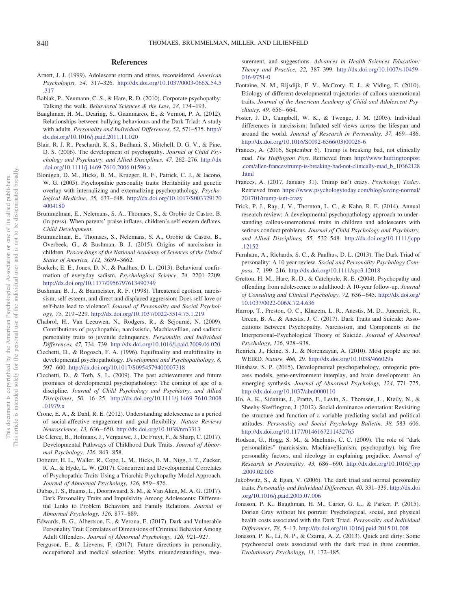#### **References**

- <span id="page-5-0"></span>Arnett, J. J. (1999). Adolescent storm and stress, reconsidered. *American Psychologist, 54,* 317–326. [http://dx.doi.org/10.1037/0003-066X.54.5](http://dx.doi.org/10.1037/0003-066X.54.5.317) [.317](http://dx.doi.org/10.1037/0003-066X.54.5.317)
- <span id="page-5-16"></span>Babiak, P., Neumann, C. S., & Hare, R. D. (2010). Corporate psychopathy: Talking the walk. *Behavioral Sciences & the Law, 28,* 174 –193.
- <span id="page-5-5"></span>Baughman, H. M., Dearing, S., Giammarco, E., & Vernon, P. A. (2012). Relationships between bullying behaviours and the Dark Triad: A study with adults. *Personality and Individual Differences, 52,* 571–575. [http://](http://dx.doi.org/10.1016/j.paid.2011.11.020) [dx.doi.org/10.1016/j.paid.2011.11.020](http://dx.doi.org/10.1016/j.paid.2011.11.020)
- <span id="page-5-13"></span>Blair, R. J. R., Peschardt, K. S., Budhani, S., Mitchell, D. G. V., & Pine, D. S. (2006). The development of psychopathy. *Journal of Child Psychology and Psychiatry, and Allied Disciplines, 47,* 262–276. [http://dx](http://dx.doi.org/10.1111/j.1469-7610.2006.01596.x) [.doi.org/10.1111/j.1469-7610.2006.01596.x](http://dx.doi.org/10.1111/j.1469-7610.2006.01596.x)
- <span id="page-5-11"></span>Blonigen, D. M., Hicks, B. M., Krueger, R. F., Patrick, C. J., & Iacono, W. G. (2005). Psychopathic personality traits: Heritability and genetic overlap with internalizing and externalizing psychopathology. *Psychological Medicine, 35,* 637– 648. [http://dx.doi.org/10.1017/S003329170](http://dx.doi.org/10.1017/S0033291704004180) [4004180](http://dx.doi.org/10.1017/S0033291704004180)
- <span id="page-5-23"></span>Brummelman, E., Nelemans, S. A., Thomaes, S., & Orobio de Castro, B. (in press). When parents' praise inflates, children's self-esteem deflates. *Child Development*.
- <span id="page-5-14"></span>Brummelman, E., Thomaes, S., Nelemans, S. A., Orobio de Castro, B., Overbeek, G., & Bushman, B. J. (2015). Origins of narcissism in children. *Proceedings of the National Academy of Sciences of the United States of America, 112,* 3659 –3662.
- <span id="page-5-9"></span>Buckels, E. E., Jones, D. N., & Paulhus, D. L. (2013). Behavioral confirmation of everyday sadism. *Psychological Science, 24,* 2201–2209. <http://dx.doi.org/10.1177/0956797613490749>
- <span id="page-5-17"></span>Bushman, B. J., & Baumeister, R. F. (1998). Threatened egotism, narcissism, self-esteem, and direct and displaced aggression: Does self-love or self-hate lead to violence? *Journal of Personality and Social Psychology, 75,* 219 –229. <http://dx.doi.org/10.1037/0022-3514.75.1.219>
- <span id="page-5-10"></span>Chabrol, H., Van Leeuwen, N., Rodgers, R., & Séjourné, N. (2009). Contributions of psychopathic, narcissistic, Machiavellian, and sadistic personality traits to juvenile delinquency. *Personality and Individual Differences, 47,* 734 –739. <http://dx.doi.org/10.1016/j.paid.2009.06.020>
- <span id="page-5-24"></span>Cicchetti, D., & Rogosch, F. A. (1996). Equifinality and multifinality in developmental psychopathology. *Development and Psychopathology, 8,* 597– 600. <http://dx.doi.org/10.1017/S0954579400007318>
- <span id="page-5-21"></span>Cicchetti, D., & Toth, S. L. (2009). The past achievements and future promises of developmental psychopathology: The coming of age of a discipline. *Journal of Child Psychology and Psychiatry, and Allied Disciplines, 50,* 16 –25. [http://dx.doi.org/10.1111/j.1469-7610.2008](http://dx.doi.org/10.1111/j.1469-7610.2008.01979.x) [.01979.x](http://dx.doi.org/10.1111/j.1469-7610.2008.01979.x)
- <span id="page-5-1"></span>Crone, E. A., & Dahl, R. E. (2012). Understanding adolescence as a period of social-affective engagement and goal flexibility. *Nature Reviews Neuroscience, 13,* 636 – 650. <http://dx.doi.org/10.1038/nrn3313>
- <span id="page-5-25"></span>De Clercq, B., Hofmans, J., Vergauwe, J., De Fruyt, F., & Sharp, C. (2017). Developmental Pathways of Childhood Dark Traits. *Journal of Abnormal Psychology, 126,* 843– 858.
- Dotterer, H. L., Waller, R., Cope, L. M., Hicks, B. M., Nigg, J. T., Zucker, R. A., & Hyde, L. W. (2017). Concurrent and Developmental Correlates of Psychopathic Traits Using a Triarchic Psychopathy Model Approach. *Journal of Abnormal Psychology, 126,* 859 – 876.
- <span id="page-5-26"></span>Dubas, J. S., Baams, L., Doornwaard, S. M., & Van Aken, M. A. G. (2017). Dark Personality Traits and Impulsivity Among Adolescents: Differential Links to Problem Behaviors and Family Relations. *Journal of Abnormal Psychology, 126,* 877– 889.
- <span id="page-5-27"></span>Edwards, B. G., Albertson, E., & Verona, E. (2017). Dark and Vulnerable Personality Trait Correlates of Dimensions of Criminal Behavior Among Adult Offenders. *Journal of Abnormal Psychology, 126,* 921–927.
- <span id="page-5-18"></span>Ferguson, E., & Lievens, F. (2017). Future directions in personality, occupational and medical selection: Myths, misunderstandings, mea-

surement, and suggestions. *Advances in Health Sciences Education: Theory and Practice, 22,* 387–399. [http://dx.doi.org/10.1007/s10459-](http://dx.doi.org/10.1007/s10459-016-9751-0) [016-9751-0](http://dx.doi.org/10.1007/s10459-016-9751-0)

- <span id="page-5-19"></span>Fontaine, N. M., Rijsdijk, F. V., McCrory, E. J., & Viding, E. (2010). Etiology of different developmental trajectories of callous-unemotional traits. *Journal of the American Academy of Child and Adolescent Psychiatry, 49,* 656 – 664.
- <span id="page-5-30"></span>Foster, J. D., Campbell, W. K., & Twenge, J. M. (2003). Individual differences in narcissism: Inflated self-views across the lifespan and around the world. *Journal of Research in Personality, 37,* 469 – 486. [http://dx.doi.org/10.1016/S0092-6566\(03\)00026-6](http://dx.doi.org/10.1016/S0092-6566%2803%2900026-6)
- <span id="page-5-7"></span>Frances, A. (2016, September 6). Trump is breaking bad, not clinically mad. *The Huffington Post*. Retrieved from [http://www.huffingtonpost](http://www.huffingtonpost.com/allen-frances/trump-is-breaking-bad-not-clinically-mad_b_10362128.html) [.com/allen-frances/trump-is-breaking-bad-not-clinically-mad\\_b\\_10362128](http://www.huffingtonpost.com/allen-frances/trump-is-breaking-bad-not-clinically-mad_b_10362128.html) [.html](http://www.huffingtonpost.com/allen-frances/trump-is-breaking-bad-not-clinically-mad_b_10362128.html)
- <span id="page-5-8"></span>Frances, A. (2017, January 31). Trump isn't crazy. *Psychology Today*. Retrieved from [https://www.psychologytoday.com/blog/saving-normal/](https://www.psychologytoday.com/blog/saving-normal/201701/trump-isnt-crazy) [201701/trump-isnt-crazy](https://www.psychologytoday.com/blog/saving-normal/201701/trump-isnt-crazy)
- <span id="page-5-20"></span>Frick, P. J., Ray, J. V., Thornton, L. C., & Kahn, R. E. (2014). Annual research review: A developmental psychopathology approach to understanding callous-unemotional traits in children and adolescents with serious conduct problems. *Journal of Child Psychology and Psychiatry, and Allied Disciplines, 55,* 532–548. [http://dx.doi.org/10.1111/jcpp](http://dx.doi.org/10.1111/jcpp.12152) [.12152](http://dx.doi.org/10.1111/jcpp.12152)
- <span id="page-5-6"></span>Furnham, A., Richards, S. C., & Paulhus, D. L. (2013). The Dark Triad of personality: A 10 year review. *Social and Personality Psychology Compass, 7,* 199 –216. <http://dx.doi.org/10.1111/spc3.12018>
- <span id="page-5-15"></span>Gretton, H. M., Hare, R. D., & Catchpole, R. E. (2004). Psychopathy and offending from adolescence to adulthood: A 10-year follow-up. *Journal of Consulting and Clinical Psychology, 72,* 636 – 645. [http://dx.doi.org/](http://dx.doi.org/10.1037/0022-006X.72.4.636) [10.1037/0022-006X.72.4.636](http://dx.doi.org/10.1037/0022-006X.72.4.636)
- <span id="page-5-28"></span>Harrop, T., Preston, O. C., Khazem, L. R., Anestis, M. D., Junearick, R., Green, B. A., & Anestis, J. C. (2017). Dark Traits and Suicide: Associations Between Psychopathy, Narcissism, and Components of the Interpersonal–Psychological Theory of Suicide. *Journal of Abnormal Psychology, 126,* 928 –938.
- <span id="page-5-29"></span>Henrich, J., Heine, S. J., & Norenzayan, A. (2010). Most people are not WEIRD. *Nature, 466,* 29. <http://dx.doi.org/10.1038/466029a>
- <span id="page-5-22"></span>Hinshaw, S. P. (2015). Developmental psychopathology, ontogenic process models, gene-environment interplay, and brain development: An emerging synthesis. *Journal of Abnormal Psychology, 124,* 771–775. <http://dx.doi.org/10.1037/abn0000110>
- <span id="page-5-3"></span>Ho, A. K., Sidanius, J., Pratto, F., Levin, S., Thomsen, L., Kteily, N., & Sheehy-Skeffington, J. (2012). Social dominance orientation: Revisiting the structure and function of a variable predicting social and political attitudes. *Personality and Social Psychology Bulletin, 38,* 583– 606. <http://dx.doi.org/10.1177/0146167211432765>
- <span id="page-5-4"></span>Hodson, G., Hogg, S. M., & MacInnis, C. C. (2009). The role of "dark personalities" (narcissism, Machiavellianism, psychopathy), big five personality factors, and ideology in explaining prejudice. *Journal of Research in Personality, 43,* 686 – 690. [http://dx.doi.org/10.1016/j.jrp](http://dx.doi.org/10.1016/j.jrp.2009.02.005) [.2009.02.005](http://dx.doi.org/10.1016/j.jrp.2009.02.005)
- <span id="page-5-2"></span>Jakobwitz, S., & Egan, V. (2006). The dark triad and normal personality traits. *Personality and Individual Differences, 40,* 331–339. [http://dx.doi](http://dx.doi.org/10.1016/j.paid.2005.07.006) [.org/10.1016/j.paid.2005.07.006](http://dx.doi.org/10.1016/j.paid.2005.07.006)
- <span id="page-5-12"></span>Jonason, P. K., Baughman, H. M., Carter, G. L., & Parker, P. (2015). Dorian Gray without his portrait: Psychological, social, and physical health costs associated with the Dark Triad. *Personality and Individual Differences, 78,* 5–13. <http://dx.doi.org/10.1016/j.paid.2015.01.008>
- <span id="page-5-31"></span>Jonason, P. K., Li, N. P., & Czarna, A. Z. (2013). Quick and dirty: Some psychosocial costs associated with the dark triad in three countries. *Evolutionary Psychology, 11,* 172–185.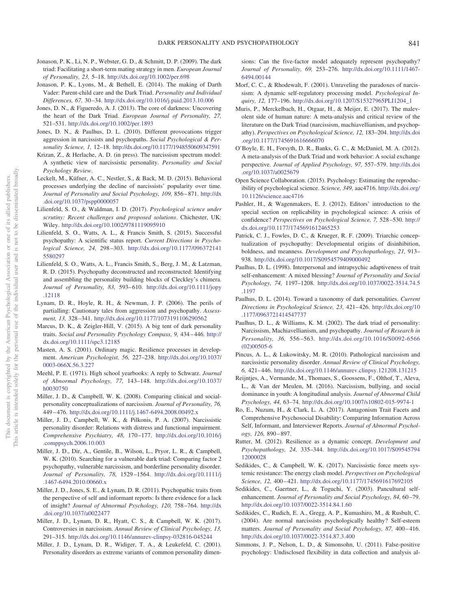- <span id="page-6-4"></span>Jonason, P. K., Li, N. P., Webster, G. D., & Schmitt, D. P. (2009). The dark triad: Facilitating a short-term mating strategy in men. *European Journal of Personality, 23,* 5–18. <http://dx.doi.org/10.1002/per.698>
- <span id="page-6-13"></span>Jonason, P. K., Lyons, M., & Bethell, E. (2014). The making of Darth Vader: Parent-child care and the Dark Triad. *Personality and Individual Differences, 67,* 30 –34. <http://dx.doi.org/10.1016/j.paid.2013.10.006>
- <span id="page-6-2"></span>Jones, D. N., & Figueredo, A. J. (2013). The core of darkness: Uncovering the heart of the Dark Triad. *European Journal of Personality, 27,* 521–531. <http://dx.doi.org/10.1002/per.1893>
- <span id="page-6-5"></span>Jones, D. N., & Paulhus, D. L. (2010). Different provocations trigger aggression in narcissists and psychopaths. *Social Psychological & Personality Science, 1,* 12–18. <http://dx.doi.org/10.1177/1948550609347591>
- <span id="page-6-24"></span>Krizan, Z., & Herlache, A. D. (in press). The narcissism spectrum model: A synthetic view of narcissistic personality. *Personality and Social Psychology Review*.
- <span id="page-6-6"></span>Leckelt, M., Küfner, A. C., Nestler, S., & Back, M. D. (2015). Behavioral processes underlying the decline of narcissists' popularity over time. *Journal of Personality and Social Psychology, 109,* 856 – 871. [http://dx](http://dx.doi.org/10.1037/pspp0000057) [.doi.org/10.1037/pspp0000057](http://dx.doi.org/10.1037/pspp0000057)
- <span id="page-6-20"></span>Lilienfeld, S. O., & Waldman, I. D. (2017). *Psychological science under scrutiny: Recent challenges and proposed solutions*. Chichester, UK: Wiley. <http://dx.doi.org/10.1002/9781119095910>
- <span id="page-6-27"></span>Lilienfeld, S. O., Watts, A. L., & Francis Smith, S. (2015). Successful psychopathy: A scientific status report. *Current Directions in Psychological Science, 24,* 298 –303. [http://dx.doi.org/10.1177/096372141](http://dx.doi.org/10.1177/0963721415580297) [5580297](http://dx.doi.org/10.1177/0963721415580297)
- <span id="page-6-34"></span>Lilienfeld, S. O., Watts, A. L., Francis Smith, S., Berg, J. M., & Latzman, R. D. (2015). Psychopathy deconstructed and reconstructed: Identifying and assembling the personality building blocks of Cleckley's chimera. *Journal of Personality, 83,* 593– 610. [http://dx.doi.org/10.1111/jopy](http://dx.doi.org/10.1111/jopy.12118) [.12118](http://dx.doi.org/10.1111/jopy.12118)
- <span id="page-6-18"></span>Lynam, D. R., Hoyle, R. H., & Newman, J. P. (2006). The perils of partialling: Cautionary tales from aggression and psychopathy. *Assessment, 13,* 328 –341. <http://dx.doi.org/10.1177/1073191106290562>
- <span id="page-6-33"></span>Marcus, D. K., & Zeigler-Hill, V. (2015). A big tent of dark personality traits. *Social and Personality Psychology Compass, 9,* 434 – 446. [http://](http://dx.doi.org/10.1111/spc3.12185) [dx.doi.org/10.1111/spc3.12185](http://dx.doi.org/10.1111/spc3.12185)
- <span id="page-6-29"></span>Masten, A. S. (2001). Ordinary magic. Resilience processes in development. *American Psychologist, 56,* 227–238. [http://dx.doi.org/10.1037/](http://dx.doi.org/10.1037/0003-066X.56.3.227) [0003-066X.56.3.227](http://dx.doi.org/10.1037/0003-066X.56.3.227)
- <span id="page-6-19"></span>Meehl, P. E. (1971). High school yearbooks: A reply to Schwarz. *Journal of Abnormal Psychology, 77,* 143–148. [http://dx.doi.org/10.1037/](http://dx.doi.org/10.1037/h0030750) [h0030750](http://dx.doi.org/10.1037/h0030750)
- <span id="page-6-10"></span>Miller, J. D., & Campbell, W. K. (2008). Comparing clinical and socialpersonality conceptualizations of narcissism. *Journal of Personality, 76,* 449 – 476. <http://dx.doi.org/10.1111/j.1467-6494.2008.00492.x>
- <span id="page-6-9"></span>Miller, J. D., Campbell, W. K., & Pilkonis, P. A. (2007). Narcissistic personality disorder: Relations with distress and functional impairment. *Comprehensive Psychiatry, 48,* 170 –177. [http://dx.doi.org/10.1016/j](http://dx.doi.org/10.1016/j.comppsych.2006.10.003) [.comppsych.2006.10.003](http://dx.doi.org/10.1016/j.comppsych.2006.10.003)
- <span id="page-6-12"></span>Miller, J. D., Dir, A., Gentile, B., Wilson, L., Pryor, L. R., & Campbell, W. K. (2010). Searching for a vulnerable dark triad: Comparing factor 2 psychopathy, vulnerable narcissism, and borderline personality disorder. *Journal of Personality, 78,* 1529 –1564. [http://dx.doi.org/10.1111/j](http://dx.doi.org/10.1111/j.1467-6494.2010.00660.x) [.1467-6494.2010.00660.x](http://dx.doi.org/10.1111/j.1467-6494.2010.00660.x)
- <span id="page-6-17"></span>Miller, J. D., Jones, S. E., & Lynam, D. R. (2011). Psychopathic traits from the perspective of self and informant reports: Is there evidence for a lack of insight? *Journal of Abnormal Psychology, 120,* 758 –764. [http://dx](http://dx.doi.org/10.1037/a0022477) [.doi.org/10.1037/a0022477](http://dx.doi.org/10.1037/a0022477)
- <span id="page-6-25"></span>Miller, J. D., Lynam, D. R., Hyatt, C. S., & Campbell, W. K. (2017). Controversies in narcissism. *Annual Review of Clinical Psychology, 13,* 291–315. <http://dx.doi.org/10.1146/annurev-clinpsy-032816-045244>
- <span id="page-6-35"></span>Miller, J. D., Lynam, D. R., Widiger, T. A., & Leukefeld, C. (2001). Personality disorders as extreme variants of common personality dimen-

sions: Can the five-factor model adequately represent psychopathy? *Journal of Personality, 69,* 253–276. [http://dx.doi.org/10.1111/1467-](http://dx.doi.org/10.1111/1467-6494.00144) [6494.00144](http://dx.doi.org/10.1111/1467-6494.00144)

- <span id="page-6-7"></span>Morf, C. C., & Rhodewalt, F. (2001). Unraveling the paradoxes of narcissism: A dynamic self-regulatory processing model. *Psychological Inquiry, 12,* 177–196. [http://dx.doi.org/10.1207/S15327965PLI1204\\_1](http://dx.doi.org/10.1207/S15327965PLI1204_1)
- <span id="page-6-3"></span>Muris, P., Merckelbach, H., Otgaar, H., & Meijer, E. (2017). The malevolent side of human nature: A meta-analysis and critical review of the literature on the Dark Triad (narcissism, machiavellianism, and psychopathy). *Perspectives on Psychological Science, 12,* 183–204. [http://dx.doi](http://dx.doi.org/10.1177/1745691616666070) [.org/10.1177/1745691616666070](http://dx.doi.org/10.1177/1745691616666070)
- <span id="page-6-31"></span>O'Boyle, E. H., Forsyth, D. R., Banks, G. C., & McDaniel, M. A. (2012). A meta-analysis of the Dark Triad and work behavior: A social exchange perspective. *Journal of Applied Psychology, 97,* 557–579. [http://dx.doi](http://dx.doi.org/10.1037/a0025679) [.org/10.1037/a0025679](http://dx.doi.org/10.1037/a0025679)
- <span id="page-6-22"></span>Open Science Collaboration. (2015). Psychology: Estimating the reproducibility of psychological science. *Science, 349,* aac4716. [http://dx.doi.org/](http://dx.doi.org/10.1126/science.aac4716) [10.1126/science.aac4716](http://dx.doi.org/10.1126/science.aac4716)
- <span id="page-6-23"></span>Pashler, H., & Wagenmakers, E. J. (2012). Editors' introduction to the special section on replicability in psychological science: A crisis of confidence? *Perspectives on Psychological Science, 7,* 528 –530. [http://](http://dx.doi.org/10.1177/1745691612465253) [dx.doi.org/10.1177/1745691612465253](http://dx.doi.org/10.1177/1745691612465253)
- <span id="page-6-16"></span>Patrick, C. J., Fowles, D. C., & Krueger, R. F. (2009). Triarchic conceptualization of psychopathy: Developmental origins of disinhibition, boldness, and meanness. *Development and Psychopathology, 21,* 913– 938. <http://dx.doi.org/10.1017/S0954579409000492>
- <span id="page-6-8"></span>Paulhus, D. L. (1998). Interpersonal and intrapsychic adaptiveness of trait self-enhancement: A mixed blessing? *Journal of Personality and Social Psychology, 74,* 1197–1208. [http://dx.doi.org/10.1037/0022-3514.74.5](http://dx.doi.org/10.1037/0022-3514.74.5.1197) [.1197](http://dx.doi.org/10.1037/0022-3514.74.5.1197)
- <span id="page-6-1"></span>Paulhus, D. L. (2014). Toward a taxonomy of dark personalities. *Current Directions in Psychological Science, 23,* 421– 426. [http://dx.doi.org/10](http://dx.doi.org/10.1177/0963721414547737) [.1177/0963721414547737](http://dx.doi.org/10.1177/0963721414547737)
- <span id="page-6-0"></span>Paulhus, D. L., & Williams, K. M. (2002). The dark triad of personality: Narcissism, Machiavellianism, and psychopathy. *Journal of Research in Personality, 36,* 556 –563. [http://dx.doi.org/10.1016/S0092-6566](http://dx.doi.org/10.1016/S0092-6566%2802%2900505-6) [\(02\)00505-6](http://dx.doi.org/10.1016/S0092-6566%2802%2900505-6)
- <span id="page-6-11"></span>Pincus, A. L., & Lukowitsky, M. R. (2010). Pathological narcissism and narcissistic personality disorder. *Annual Review of Clinical Psychology, 6,* 421– 446. <http://dx.doi.org/10.1146/annurev.clinpsy.121208.131215>
- <span id="page-6-14"></span>Reijntjes, A., Vermande, M., Thomaes, S., Goossens, F., Olthof, T., Aleva, L., & Van der Meulen, M. (2016). Narcissism, bullying, and social dominance in youth: A longitudinal analysis. *Journal of Abnormal Child Psychology, 44,* 63–74. <http://dx.doi.org/10.1007/s10802-015-9974-1>
- <span id="page-6-26"></span>Ro, E., Nuzum, H., & Clark, L. A. (2017). Antagonism Trait Facets and Comprehensive Psychosocial Disability: Comparing Information Across Self, Informant, and Interviewer Reports. *Journal of Abnormal Psychology, 126,* 890 – 897.
- <span id="page-6-30"></span>Rutter, M. (2012). Resilience as a dynamic concept. *Development and Psychopathology, 24,* 335–344. [http://dx.doi.org/10.1017/S09545794](http://dx.doi.org/10.1017/S0954579412000028) [12000028](http://dx.doi.org/10.1017/S0954579412000028)
- <span id="page-6-15"></span>Sedikides, C., & Campbell, W. K. (2017). Narcissistic force meets systemic resistance: The energy clash model. *Perspectives on Psychological Science, 12,* 400 – 421. <http://dx.doi.org/10.1177/1745691617692105>
- <span id="page-6-32"></span>Sedikides, C., Gaertner, L., & Toguchi, Y. (2003). Pancultural selfenhancement. *Journal of Personality and Social Psychology, 84, 60-79*. <http://dx.doi.org/10.1037/0022-3514.84.1.60>
- <span id="page-6-28"></span>Sedikides, C., Rudich, E. A., Gregg, A. P., Kumashiro, M., & Rusbult, C. (2004). Are normal narcissists psychologically healthy? Self-esteem matters. *Journal of Personality and Social Psychology, 87, 400-416*. <http://dx.doi.org/10.1037/0022-3514.87.3.400>
- <span id="page-6-21"></span>Simmons, J. P., Nelson, L. D., & Simonsohn, U. (2011). False-positive psychology: Undisclosed flexibility in data collection and analysis al-